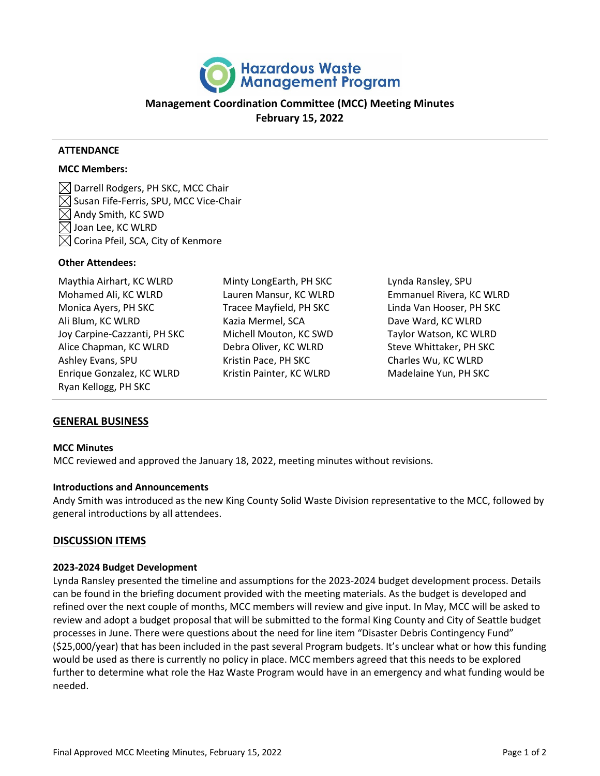

# **Management Coordination Committee (MCC) Meeting Minutes February 15, 2022**

#### **ATTENDANCE**

#### **MCC Members:**

 $\boxtimes$  Darrell Rodgers, PH SKC, MCC Chair  $\boxtimes$  Susan Fife-Ferris, SPU, MCC Vice-Chair  $\boxtimes$  Andy Smith, KC SWD Joan Lee, KC WLRD  $[\times]$  Corina Pfeil, SCA, City of Kenmore

#### **Other Attendees:**

Maythia Airhart, KC WLRD Mohamed Ali, KC WLRD Monica Ayers, PH SKC Ali Blum, KC WLRD Joy Carpine-Cazzanti, PH SKC Alice Chapman, KC WLRD Ashley Evans, SPU Enrique Gonzalez, KC WLRD Ryan Kellogg, PH SKC

Minty LongEarth, PH SKC Lauren Mansur, KC WLRD Tracee Mayfield, PH SKC Kazia Mermel, SCA Michell Mouton, KC SWD Debra Oliver, KC WLRD Kristin Pace, PH SKC Kristin Painter, KC WLRD

Lynda Ransley, SPU Emmanuel Rivera, KC WLRD Linda Van Hooser, PH SKC Dave Ward, KC WLRD Taylor Watson, KC WLRD Steve Whittaker, PH SKC Charles Wu, KC WLRD Madelaine Yun, PH SKC

## **GENERAL BUSINESS**

#### **MCC Minutes**

MCC reviewed and approved the January 18, 2022, meeting minutes without revisions.

#### **Introductions and Announcements**

Andy Smith was introduced as the new King County Solid Waste Division representative to the MCC, followed by general introductions by all attendees.

## **DISCUSSION ITEMS**

#### **2023-2024 Budget Development**

Lynda Ransley presented the timeline and assumptions for the 2023-2024 budget development process. Details can be found in the briefing document provided with the meeting materials. As the budget is developed and refined over the next couple of months, MCC members will review and give input. In May, MCC will be asked to review and adopt a budget proposal that will be submitted to the formal King County and City of Seattle budget processes in June. There were questions about the need for line item "Disaster Debris Contingency Fund" (\$25,000/year) that has been included in the past several Program budgets. It's unclear what or how this funding would be used as there is currently no policy in place. MCC members agreed that this needs to be explored further to determine what role the Haz Waste Program would have in an emergency and what funding would be needed.